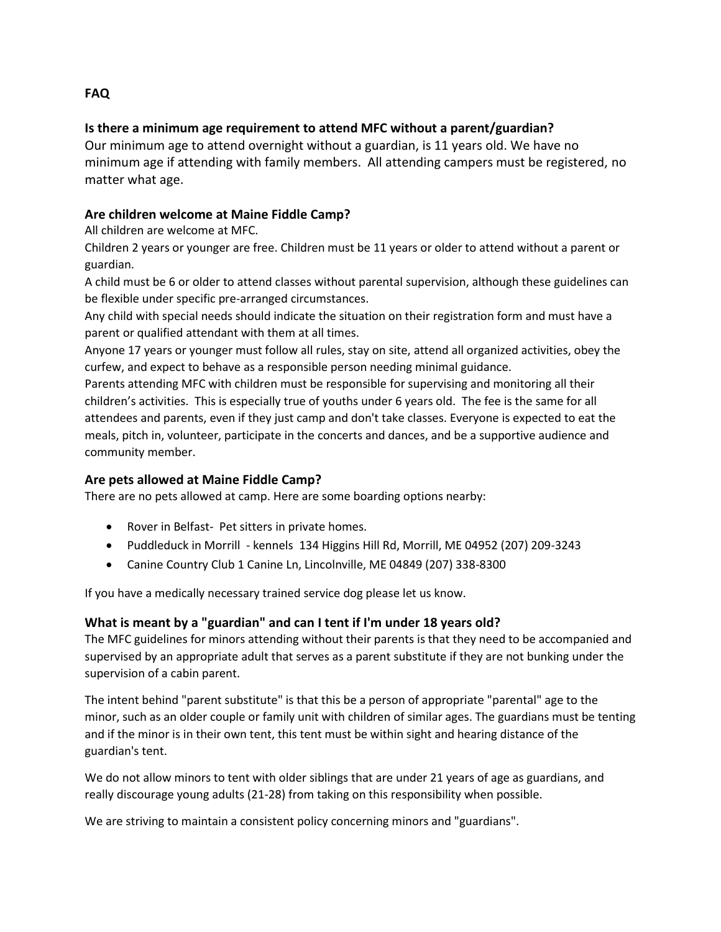# **Is there a minimum age requirement to attend MFC without a parent/guardian?**

Our minimum age to attend overnight without a guardian, is 11 years old. We have no minimum age if attending with family members. All attending campers must be registered, no matter what age.

### **Are children welcome at Maine Fiddle Camp?**

All children are welcome at MFC.

Children 2 years or younger are free. Children must be 11 years or older to attend without a parent or guardian.

A child must be 6 or older to attend classes without parental supervision, although these guidelines can be flexible under specific pre-arranged circumstances.

Any child with special needs should indicate the situation on their registration form and must have a parent or qualified attendant with them at all times.

Anyone 17 years or younger must follow all rules, stay on site, attend all organized activities, obey the curfew, and expect to behave as a responsible person needing minimal guidance.

Parents attending MFC with children must be responsible for supervising and monitoring all their children's activities. This is especially true of youths under 6 years old. The fee is the same for all attendees and parents, even if they just camp and don't take classes. Everyone is expected to eat the meals, pitch in, volunteer, participate in the concerts and dances, and be a supportive audience and community member.

### **Are pets allowed at Maine Fiddle Camp?**

There are no pets allowed at camp. Here are some boarding options nearby:

- Rover in Belfast- Pet sitters in private homes.
- Puddleduck in Morrill kennels 134 Higgins Hill Rd, Morrill, ME 04952 (207) 209-3243
- Canine Country Club 1 Canine Ln, Lincolnville, ME 04849 (207) 338-8300

If you have a medically necessary trained service dog please let us know.

### **What is meant by a "guardian" and can I tent if I'm under 18 years old?**

The MFC guidelines for minors attending without their parents is that they need to be accompanied and supervised by an appropriate adult that serves as a parent substitute if they are not bunking under the supervision of a cabin parent.

The intent behind "parent substitute" is that this be a person of appropriate "parental" age to the minor, such as an older couple or family unit with children of similar ages. The guardians must be tenting and if the minor is in their own tent, this tent must be within sight and hearing distance of the guardian's tent.

We do not allow minors to tent with older siblings that are under 21 years of age as guardians, and really discourage young adults (21-28) from taking on this responsibility when possible.

We are striving to maintain a consistent policy concerning minors and "guardians".

### **FAQ**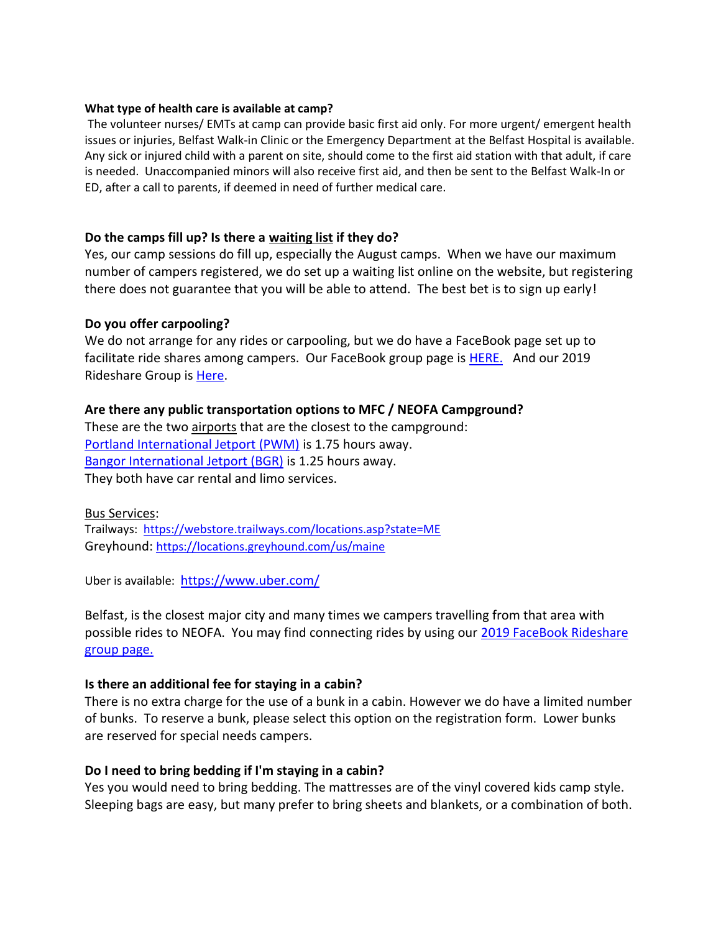#### **What type of health care is available at camp?**

The volunteer nurses/ EMTs at camp can provide basic first aid only. For more urgent/ emergent health issues or injuries, Belfast Walk-in Clinic or the Emergency Department at the Belfast Hospital is available. Any sick or injured child with a parent on site, should come to the first aid station with that adult, if care is needed. Unaccompanied minors will also receive first aid, and then be sent to the Belfast Walk-In or ED, after a call to parents, if deemed in need of further medical care.

### **Do the camps fill up? Is there a waiting list if they do?**

Yes, our camp sessions do fill up, especially the August camps. When we have our maximum number of campers registered, we do set up a waiting list online on the website, but registering there does not guarantee that you will be able to attend. The best bet is to sign up early!

### **Do you offer carpooling?**

We do not arrange for any rides or carpooling, but we do have a FaceBook page set up to facilitate ride shares among campers. Our FaceBook group page is **HERE.** And our 2019 Rideshare Group i[s Here.](https://www.facebook.com/groups/180787779301928/)

### **Are there any public transportation options to MFC / NEOFA Campground?**

These are the two airports that are the closest to the campground: [Portland International Jetport \(PWM\)](https://portlandjetport.org/) is 1.75 hours away. [Bangor International Jetport \(BGR\)](https://flybangor.com/) is 1.25 hours away. They both have car rental and limo services.

### Bus Services:

Trailways: <https://webstore.trailways.com/locations.asp?state=ME> Greyhound: <https://locations.greyhound.com/us/maine>

Uber is available: <https://www.uber.com/>

Belfast, is the closest major city and many times we campers travelling from that area with possible rides to NEOFA. You may find connecting rides by using our 2019 FaceBook Rideshare [group page.](https://www.facebook.com/groups/180787779301928/)

### **Is there an additional fee for staying in a cabin?**

There is no extra charge for the use of a bunk in a cabin. However we do have a limited number of bunks. To reserve a bunk, please select this option on the registration form. Lower bunks are reserved for special needs campers.

## **Do I need to bring bedding if I'm staying in a cabin?**

Yes you would need to bring bedding. The mattresses are of the vinyl covered kids camp style. Sleeping bags are easy, but many prefer to bring sheets and blankets, or a combination of both.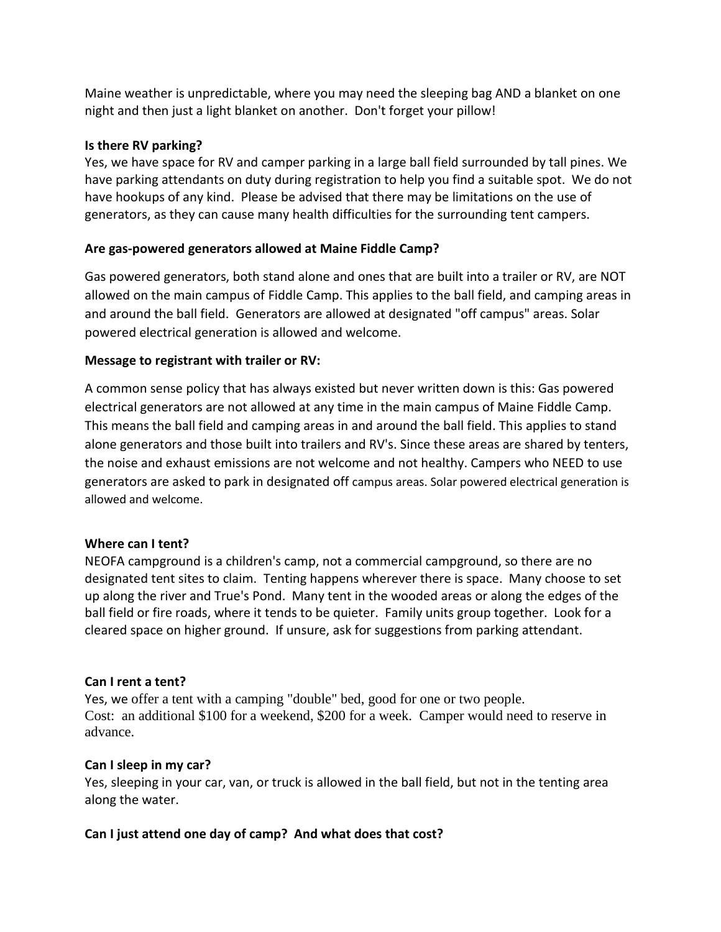Maine weather is unpredictable, where you may need the sleeping bag AND a blanket on one night and then just a light blanket on another. Don't forget your pillow!

### **Is there RV parking?**

Yes, we have space for RV and camper parking in a large ball field surrounded by tall pines. We have parking attendants on duty during registration to help you find a suitable spot. We do not have hookups of any kind. Please be advised that there may be limitations on the use of generators, as they can cause many health difficulties for the surrounding tent campers.

### **Are gas-powered generators allowed at Maine Fiddle Camp?**

Gas powered generators, both stand alone and ones that are built into a trailer or RV, are NOT allowed on the main campus of Fiddle Camp. This applies to the ball field, and camping areas in and around the ball field. Generators are allowed at designated "off campus" areas. Solar powered electrical generation is allowed and welcome.

### **Message to registrant with trailer or RV:**

A common sense policy that has always existed but never written down is this: Gas powered electrical generators are not allowed at any time in the main campus of Maine Fiddle Camp. This means the ball field and camping areas in and around the ball field. This applies to stand alone generators and those built into trailers and RV's. Since these areas are shared by tenters, the noise and exhaust emissions are not welcome and not healthy. Campers who NEED to use generators are asked to park in designated off campus areas. Solar powered electrical generation is allowed and welcome.

### **Where can I tent?**

NEOFA campground is a children's camp, not a commercial campground, so there are no designated tent sites to claim. Tenting happens wherever there is space. Many choose to set up along the river and True's Pond. Many tent in the wooded areas or along the edges of the ball field or fire roads, where it tends to be quieter. Family units group together. Look for a cleared space on higher ground. If unsure, ask for suggestions from parking attendant.

### **Can I rent a tent?**

Yes, we offer a tent with a camping "double" bed, good for one or two people. Cost: an additional \$100 for a weekend, \$200 for a week. Camper would need to reserve in advance.

### **Can I sleep in my car?**

Yes, sleeping in your car, van, or truck is allowed in the ball field, but not in the tenting area along the water.

## **Can I just attend one day of camp? And what does that cost?**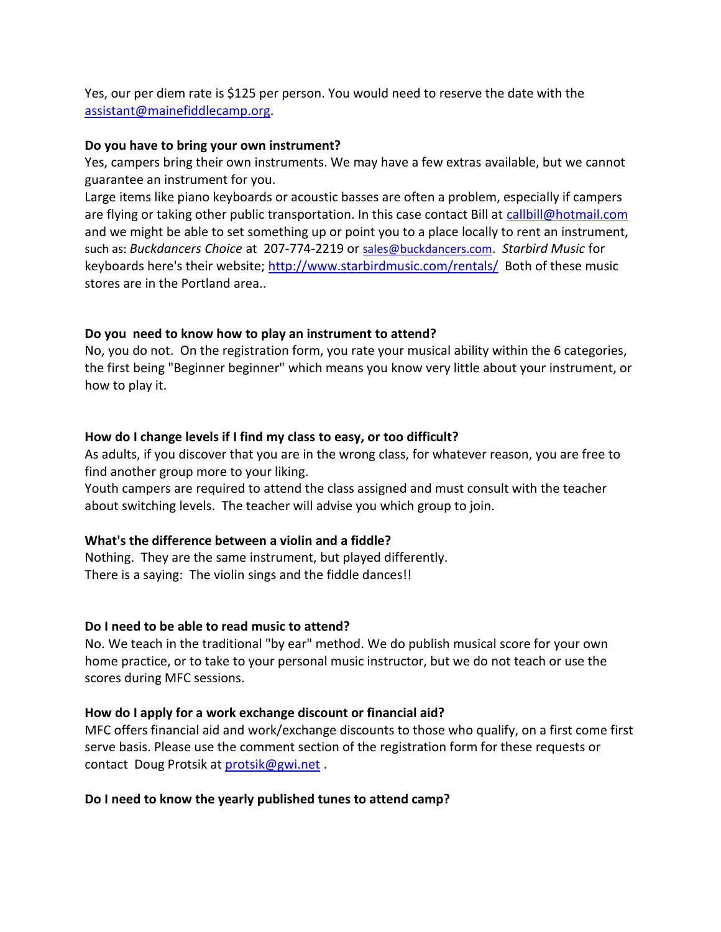Yes, our per diem rate is \$125 per person. You would need to reserve the date with the [assistant@mainefiddlecamp.org.](mailto:assistant@mainefiddlecamp.org)

### **Do you have to bring your own instrument?**

Yes, campers bring their own instruments. We may have a few extras available, but we cannot guarantee an instrument for you.

Large items like piano keyboards or acoustic basses are often a problem, especially if campers are flying or taking other public transportation. In this case contact Bill at [callbill@hotmail.com](http://callbill@hotmail.com/) and we might be able to set something up or point you to a place locally to rent an instrument, such as: *Buckdancers Choice* at 207-774-2219 or [sales@buckdancers.com](http://sales@buckdancers.com/). *Starbird Music* for keyboards here's their website;<http://www.starbirdmusic.com/rentals/>Both of these music stores are in the Portland area..

## **Do you need to know how to play an instrument to attend?**

No, you do not. On the registration form, you rate your musical ability within the 6 categories, the first being "Beginner beginner" which means you know very little about your instrument, or how to play it.

### **How do I change levels if I find my class to easy, or too difficult?**

As adults, if you discover that you are in the wrong class, for whatever reason, you are free to find another group more to your liking.

Youth campers are required to attend the class assigned and must consult with the teacher about switching levels. The teacher will advise you which group to join.

### **What's the difference between a violin and a fiddle?**

Nothing. They are the same instrument, but played differently. There is a saying: The violin sings and the fiddle dances!!

### **Do I need to be able to read music to attend?**

No. We teach in the traditional "by ear" method. We do publish musical score for your own home practice, or to take to your personal music instructor, but we do not teach or use the scores during MFC sessions.

### **How do I apply for a work exchange discount or financial aid?**

MFC offers financial aid and work/exchange discounts to those who qualify, on a first come first serve basis. Please use the comment section of the registration form for these requests or contact Doug Protsik at [protsik@gwi.net](http://protsik@gwi.net/) .

## **Do I need to know the yearly published tunes to attend camp?**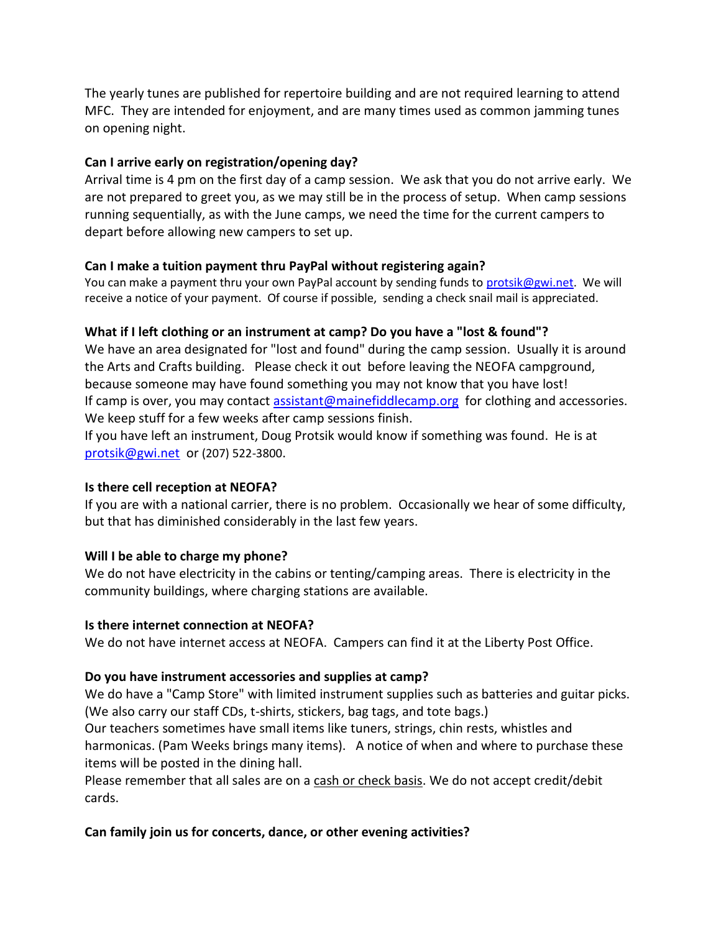The yearly tunes are published for repertoire building and are not required learning to attend MFC.They are intended for enjoyment, and are many times used as common jamming tunes on opening night.

### **Can I arrive early on registration/opening day?**

Arrival time is 4 pm on the first day of a camp session. We ask that you do not arrive early. We are not prepared to greet you, as we may still be in the process of setup. When camp sessions running sequentially, as with the June camps, we need the time for the current campers to depart before allowing new campers to set up.

### **Can I make a tuition payment thru PayPal without registering again?**

You can make a payment thru your own PayPal account by sending funds to [protsik@gwi.net.](http://protsik@gwi.net/) We will receive a notice of your payment. Of course if possible, sending a check snail mail is appreciated.

### **What if I left clothing or an instrument at camp? Do you have a "lost & found"?**

We have an area designated for "lost and found" during the camp session. Usually it is around the Arts and Crafts building. Please check it out before leaving the NEOFA campground, because someone may have found something you may not know that you have lost! If camp is over, you may contact [assistant@mainefiddlecamp.org](http://assistant@mainefiddlecamp.org/) for clothing and accessories. We keep stuff for a few weeks after camp sessions finish.

If you have left an instrument, Doug Protsik would know if something was found. He is at [protsik@gwi.net](http://protsik@gwi.net/) or (207) 522-3800.

### **Is there cell reception at NEOFA?**

If you are with a national carrier, there is no problem. Occasionally we hear of some difficulty, but that has diminished considerably in the last few years.

### **Will I be able to charge my phone?**

We do not have electricity in the cabins or tenting/camping areas. There is electricity in the community buildings, where charging stations are available.

### **Is there internet connection at NEOFA?**

We do not have internet access at NEOFA. Campers can find it at the Liberty Post Office.

## **Do you have instrument accessories and supplies at camp?**

We do have a "Camp Store" with limited instrument supplies such as batteries and guitar picks. (We also carry our staff CDs, t-shirts, stickers, bag tags, and tote bags.)

Our teachers sometimes have small items like tuners, strings, chin rests, whistles and harmonicas. (Pam Weeks brings many items). A notice of when and where to purchase these items will be posted in the dining hall.

Please remember that all sales are on a cash or check basis. We do not accept credit/debit cards.

## **Can family join us for concerts, dance, or other evening activities?**